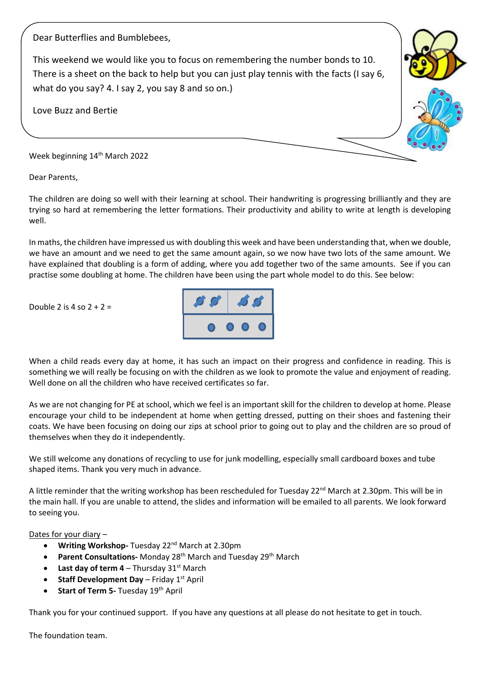Dear Butterflies and Bumblebees,

This weekend we would like you to focus on remembering the number bonds to 10. There is a sheet on the back to help but you can just play tennis with the facts (I say 6, what do you say? 4. I say 2, you say 8 and so on.)

Love Buzz and Bertie

Week beginning 14<sup>th</sup> March 2022

Dear Parents,

The children are doing so well with their learning at school. Their handwriting is progressing brilliantly and they are trying so hard at remembering the letter formations. Their productivity and ability to write at length is developing well.

In maths, the children have impressed us with doubling this week and have been understanding that, when we double, we have an amount and we need to get the same amount again, so we now have two lots of the same amount. We have explained that doubling is a form of adding, where you add together two of the same amounts. See if you can practise some doubling at home. The children have been using the part whole model to do this. See below:

Double 2 is 4 so  $2 + 2 =$ 



When a child reads every day at home, it has such an impact on their progress and confidence in reading. This is something we will really be focusing on with the children as we look to promote the value and enjoyment of reading. Well done on all the children who have received certificates so far.

As we are not changing for PE at school, which we feel is an important skill for the children to develop at home. Please encourage your child to be independent at home when getting dressed, putting on their shoes and fastening their coats. We have been focusing on doing our zips at school prior to going out to play and the children are so proud of themselves when they do it independently.

We still welcome any donations of recycling to use for junk modelling, especially small cardboard boxes and tube shaped items. Thank you very much in advance.

A little reminder that the writing workshop has been rescheduled for Tuesday 22<sup>nd</sup> March at 2.30pm. This will be in the main hall. If you are unable to attend, the slides and information will be emailed to all parents. We look forward to seeing you.

Dates for your diary –

- **Writing Workshop-** Tuesday 22nd March at 2.30pm
- **Parent Consultations-** Monday 28<sup>th</sup> March and Tuesday 29<sup>th</sup> March
- **Last day of term 4** Thursday  $31<sup>st</sup>$  March
- **Staff Development Day** Friday 1<sup>st</sup> April
- **Start of Term 5- Tuesday 19th April**

Thank you for your continued support. If you have any questions at all please do not hesitate to get in touch.

The foundation team.